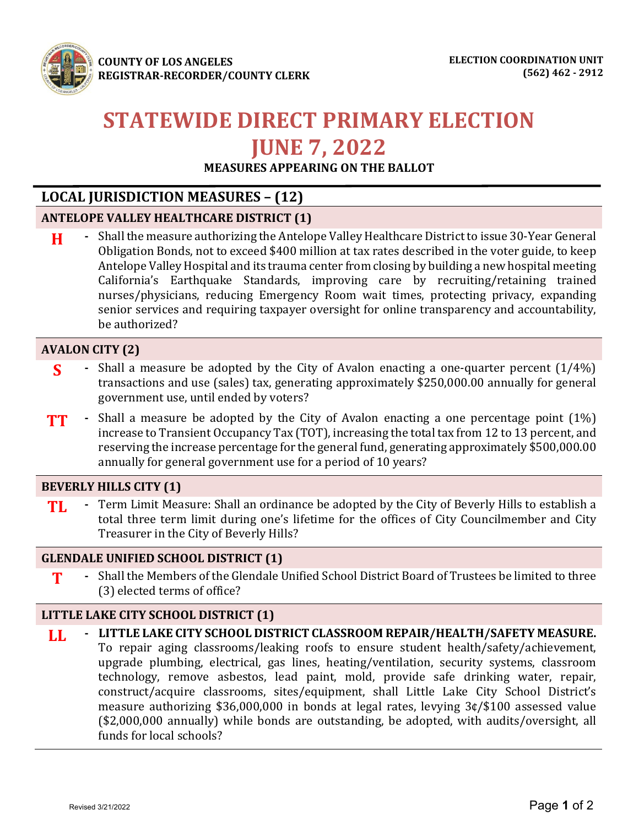

**COUNTY OF LOS ANGELES REGISTRAR-RECORDER/COUNTY CLERK** 

# **STATEWIDE DIRECT PRIMARY ELECTION JUNE 7, 2022**

**MEASURES APPEARING ON THE BALLOT**

## **LOCAL JURISDICTION MEASURES – (12)**

## **ANTELOPE VALLEY HEALTHCARE DISTRICT (1)**

**H -** Shall the measure authorizing the Antelope Valley Healthcare District to issue 30-Year General Obligation Bonds, not to exceed \$400 million at tax rates described in the voter guide, to keep Antelope Valley Hospital and its trauma center from closing by building a new hospital meeting California's Earthquake Standards, improving care by recruiting/retaining trained nurses/physicians, reducing Emergency Room wait times, protecting privacy, expanding senior services and requiring taxpayer oversight for online transparency and accountability, be authorized?

## **AVALON CITY (2)**

- **S b** Shall a measure be adopted by the City of Avalon enacting a one-quarter percent  $(1/4\%)$ transactions and use (sales) tax, generating approximately \$250,000.00 annually for general government use, until ended by voters?
- **TT** Shall a measure be adopted by the City of Avalon enacting a one percentage point (1%) increase to Transient Occupancy Tax (TOT), increasing the total tax from 12 to 13 percent, and reserving the increase percentage for the general fund, generating approximately \$500,000.00 annually for general government use for a period of 10 years?

## **BEVERLY HILLS CITY (1)**

**TL -** Term Limit Measure: Shall an ordinance be adopted by the City of Beverly Hills to establish a total three term limit during one's lifetime for the offices of City Councilmember and City Treasurer in the City of Beverly Hills?

#### **GLENDALE UNIFIED SCHOOL DISTRICT (1)**

**T** Shall the Members of the Glendale Unified School District Board of Trustees be limited to three (3) elected terms of office?

## **LITTLE LAKE CITY SCHOOL DISTRICT (1)**

**LL - LITTLE LAKE CITY SCHOOL DISTRICT CLASSROOM REPAIR/HEALTH/SAFETY MEASURE.**  To repair aging classrooms/leaking roofs to ensure student health/safety/achievement, upgrade plumbing, electrical, gas lines, heating/ventilation, security systems, classroom technology, remove asbestos, lead paint, mold, provide safe drinking water, repair, construct/acquire classrooms, sites/equipment, shall Little Lake City School District's measure authorizing \$36,000,000 in bonds at legal rates, levying 3¢/\$100 assessed value (\$2,000,000 annually) while bonds are outstanding, be adopted, with audits/oversight, all funds for local schools?